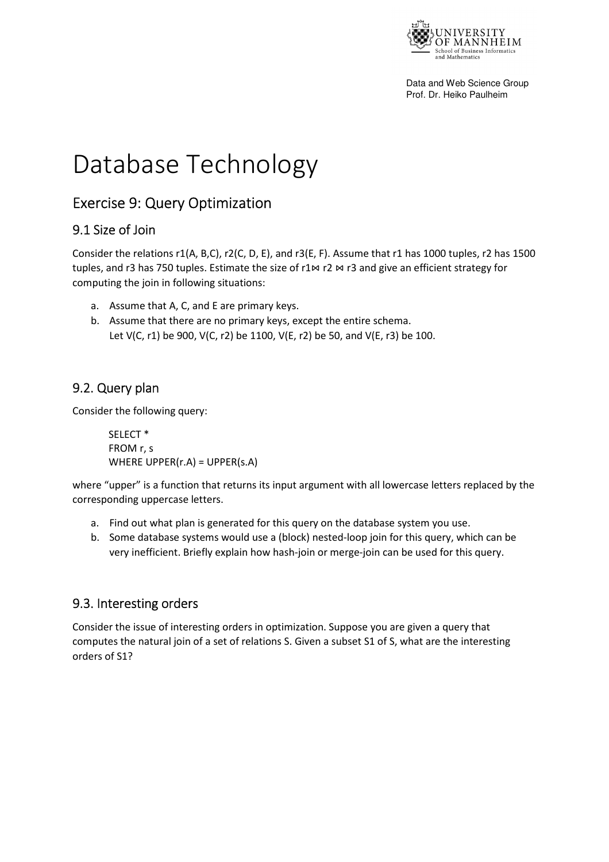

Data and Web Science Group Prof. Dr. Heiko Paulheim

# Database Technology

## Exercise 9: Query Optimization

## 9.1 Size of Join

Consider the relations r1(A, B,C), r2(C, D, E), and r3(E, F). Assume that r1 has 1000 tuples, r2 has 1500 tuples, and r3 has 750 tuples. Estimate the size of r1 $\bowtie$  r2  $\bowtie$  r3 and give an efficient strategy for computing the join in following situations:

- a. Assume that A, C, and E are primary keys.
- b. Assume that there are no primary keys, except the entire schema. Let V(C, r1) be 900, V(C, r2) be 1100, V(E, r2) be 50, and V(E, r3) be 100.

## 9.2. Query plan

Consider the following query:

 SELECT \* FROM r, s WHERE UPPER(r.A) = UPPER(s.A)

where "upper" is a function that returns its input argument with all lowercase letters replaced by the corresponding uppercase letters.

- a. Find out what plan is generated for this query on the database system you use.
- b. Some database systems would use a (block) nested-loop join for this query, which can be very inefficient. Briefly explain how hash-join or merge-join can be used for this query.

## 9.3. Interesting orders

Consider the issue of interesting orders in optimization. Suppose you are given a query that computes the natural join of a set of relations S. Given a subset S1 of S, what are the interesting orders of S1?